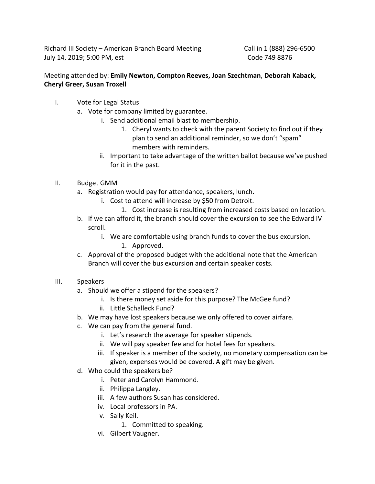Richard III Society – American Branch Board Meeting Call in 1 (888) 296-6500 July 14, 2019; 5:00 PM, est Code 749 8876

## Meeting attended by: **Emily Newton, Compton Reeves, Joan Szechtman**, **Deborah Kaback, Cheryl Greer, Susan Troxell**

- I. Vote for Legal Status
	- a. Vote for company limited by guarantee.
		- i. Send additional email blast to membership.
			- 1. Cheryl wants to check with the parent Society to find out if they plan to send an additional reminder, so we don't "spam" members with reminders.
		- ii. Important to take advantage of the written ballot because we've pushed for it in the past.
- II. Budget GMM
	- a. Registration would pay for attendance, speakers, lunch.
		- i. Cost to attend will increase by \$50 from Detroit.
			- 1. Cost increase is resulting from increased costs based on location.
	- b. If we can afford it, the branch should cover the excursion to see the Edward IV scroll.
		- i. We are comfortable using branch funds to cover the bus excursion.
			- 1. Approved.
	- c. Approval of the proposed budget with the additional note that the American Branch will cover the bus excursion and certain speaker costs.
- III. Speakers
	- a. Should we offer a stipend for the speakers?
		- i. Is there money set aside for this purpose? The McGee fund?
		- ii. Little Schalleck Fund?
	- b. We may have lost speakers because we only offered to cover airfare.
	- c. We can pay from the general fund.
		- i. Let's research the average for speaker stipends.
		- ii. We will pay speaker fee and for hotel fees for speakers.
		- iii. If speaker is a member of the society, no monetary compensation can be given, expenses would be covered. A gift may be given.
	- d. Who could the speakers be?
		- i. Peter and Carolyn Hammond.
		- ii. Philippa Langley.
		- iii. A few authors Susan has considered.
		- iv. Local professors in PA.
		- v. Sally Keil.
			- 1. Committed to speaking.
		- vi. Gilbert Vaugner.